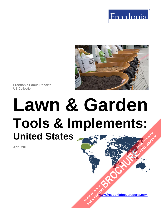



**Freedonia Focus Reports** US Collection

# **Lawn & Garden Tools & Implements: United States [BROCHURE](https://www.freedoniafocusreports.com/Lawn-Garden-Tools-Implements-United-States-FF90053/?progid=89541) CLICK TO ORDER FULL REPORT**

**April 2018**

**[www.freedoniafocusreports.com](https://www.freedoniafocusreports.com/redirect.asp?progid=89534&url=/)** CLICK TO ORDER **FULL REPORT**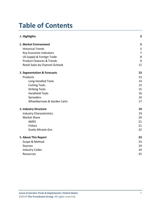# **Table of Contents**

| 1. Highlights                        | 3              |
|--------------------------------------|----------------|
| 2. Market Environment                | 5              |
| <b>Historical Trends</b>             | 5              |
| Key Economic Indicators              | $\overline{7}$ |
| US Supply & Foreign Trade            | 8              |
| <b>Product Features &amp; Trends</b> | 9              |
| Retail Sales by Channel Outlook      | 11             |
| 3. Segmentation & Forecasts          | 13             |
| Products                             | 13             |
| <b>Long-Handled Tools</b>            | 14             |
| <b>Cutting Tools</b>                 | 15             |
| <b>Striking Tools</b>                | 15             |
| <b>Handheld Tools</b>                | 16             |
| Spreaders                            | 16             |
| Wheelbarrows & Garden Carts          | 17             |
| 4. Industry Structure                | 19             |
| <b>Industry Characteristics</b>      | 19             |
| <b>Market Share</b>                  | 20             |
| <b>AMES</b>                          | 21             |
| Fiskars                              | 21             |
| <b>Scotts Miracle-Gro</b>            | 22             |
| 5. About This Report                 | 23             |
| Scope & Method                       | 23             |
| Sources                              | 24             |
| <b>Industry Codes</b>                | 24             |
| Resources                            | 25             |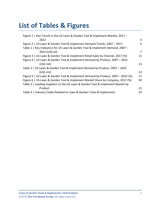# **List of Tables & Figures**

| Figure 1   Key Trends in the US Lawn & Garden Tool & Implement Market, 2017 -   |    |
|---------------------------------------------------------------------------------|----|
| 2022                                                                            | 4  |
| Figure 2   US Lawn & Garden Tool & Implement Demand Trends, 2007 - 2017         | 6  |
| Table 1   Key Indicators for US Lawn & Garden Tool & Implement Demand, 2007 -   |    |
| 2022 (US\$ bil)                                                                 | 7  |
| Figure 3   US Lawn & Garden Tool & Implement Retail Sales by Channel, 2017 (%)  | 11 |
| Figure 4   US Lawn & Garden Tool & Implement Demand by Product, 2007 - 2022     |    |
| (US <sub>5</sub> mil)                                                           | 13 |
| Table 2   US Lawn & Garden Tool & Implement Demand by Product, 2007 - 2022      |    |
| $(US$)$ mil)                                                                    | 13 |
| Figure 5   US Lawn & Garden Tool & Implement Demand by Product, 2007 - 2022 (%) | 17 |
| Figure 6   US Lawn & Garden Tool & Implement Market Share by Company, 2017 (%)  | 20 |
| Table 3   Leading Suppliers to the US Lawn & Garden Tool & Implement Market by  |    |
| Product                                                                         | 21 |
| Table 4   Industry Codes Related to Lawn & Garden Tools & Implements            | 24 |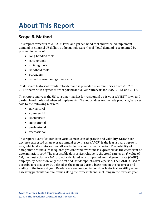# <span id="page-3-0"></span>**About This Report**

# <span id="page-3-1"></span>**Scope & Method**

This report forecasts to 2022 US lawn and garden hand tool and wheeled implement demand in nominal US dollars at the manufacturer level. Total demand is segmented by product in terms of:

- long-handled tools
- cutting tools
- striking tools
- handheld tools
- spreaders
- wheelbarrows and garden carts

To illustrate historical trends, total demand is provided in annual series from 2007 to 2017; the various segments are reported at five-year intervals for 2007, 2012, and 2017.

This report analyzes the US consumer market for residential do-it-yourself (DIY) lawn and garden hand tools and wheeled implements. The report does not include products/services sold to the following markets:

- agricultural
- commercial
- horticultural
- institutional
- professional
- recreational

This report quantifies trends in various measures of growth and volatility. Growth (or decline) expressed as an average annual growth rate (AAGR) is the least squares growth rate, which takes into account all available datapoints over a period. The volatility of datapoints around a least squares growth trend over time is expressed via the coefficient of determination, or  $r^2$ . The most stable data series relative to the trend carries an  $r^2$  value of 1.0; the most volatile – 0.0. Growth calculated as a compound annual growth rate (CAGR) employs, by definition, only the first and last datapoints over a period. The CAGR is used to describe forecast growth, defined as the expected trend beginning in the base year and ending in the forecast year. Readers are encouraged to consider historical volatility when assessing particular annual values along the forecast trend, including in the forecast year.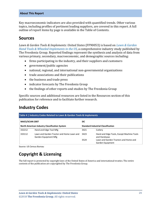#### **About This Report**

Key macroeconomic indicators are also provided with quantified trends. Other various topics, including profiles of pertinent leading suppliers, are covered in this report. A full outline of report items by page is available in the Table of Contents.

### <span id="page-4-0"></span>**Sources**

*Lawn & Garden Tools & Implements: United States* (FF90053) is based on *[Lawn & Garden](http://www.freedoniagroup.com/DocumentDetails.aspx?ReferrerId=FL-FOCUS&studyid=3581)  [Hand Tools & Wheeled Implements in the US,](http://www.freedoniagroup.com/DocumentDetails.aspx?ReferrerId=FL-FOCUS&studyid=3581)* a comprehensive industry study published by The Freedonia Group. Reported findings represent the synthesis and analysis of data from various primary, secondary, macroeconomic, and demographic sources including:

- firms participating in the industry, and their suppliers and customers
- government/public agencies
- national, regional, and international non-governmental organizations
- trade associations and their publications
- the business and trade press
- indicator forecasts by The Freedonia Group
- the findings of other reports and studies by The Freedonia Group

Specific sources and additional resources are listed in the Resources section of this publication for reference and to facilitate further research.

## <span id="page-4-1"></span>**Industry Codes**

<span id="page-4-2"></span>

| Table 4   Industry Codes Related to Lawn & Garden Tools & Implements |                                                                   |                                           |                                                           |  |  |
|----------------------------------------------------------------------|-------------------------------------------------------------------|-------------------------------------------|-----------------------------------------------------------|--|--|
| <b>NAICS/SCIAN 2007</b>                                              |                                                                   | <b>SIC</b>                                |                                                           |  |  |
| North American Industry Classification System                        |                                                                   | <b>Standard Industrial Classification</b> |                                                           |  |  |
| 332212                                                               | Hand and Edge Tool Mfg                                            | 3421                                      | Cutlery                                                   |  |  |
| 333112                                                               | Lawn and Garden Tractor and Home Lawn and<br>Garden Equipment Mfg | 3423                                      | Hand and Edge Tools, Except Machine Tools<br>and Handsaws |  |  |
|                                                                      |                                                                   | 3524                                      | Lawn and Garden Tractors and Home and<br>Garden Equipment |  |  |

Source: US Census Bureau

# **Copyright & Licensing**

The full report is protected by copyright laws of the United States of America and international treaties. The entire contents of the publication are copyrighted by The Freedonia Group.